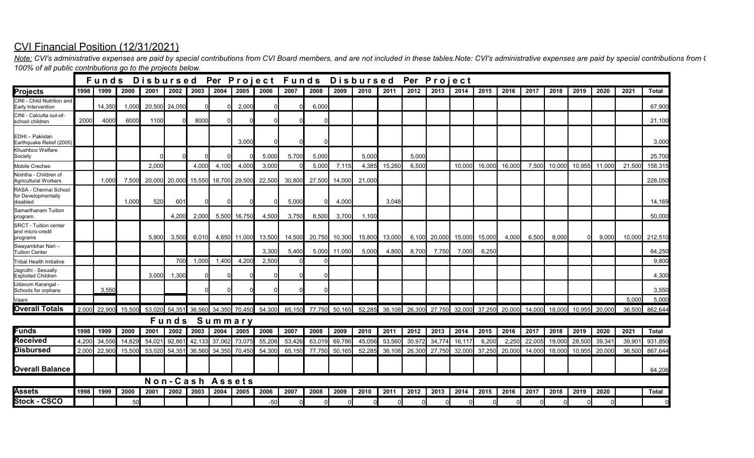## CVI Financial Position (12/31/2021)

*100% of all public contributions go to the projects below.* Note: CVI's administrative expenses are paid by special contributions from CVI Board members, and are not included in these tables. Note: CVI's administrative expenses are paid by special contributions from (

|                                                              |       | Funds Disbursed Per Project Funds Disbursed Per Project |        |        |                 |        |        |                      |        |        |        |        |        |        |        |        |        |        |        |        |        |        |        |        |              |
|--------------------------------------------------------------|-------|---------------------------------------------------------|--------|--------|-----------------|--------|--------|----------------------|--------|--------|--------|--------|--------|--------|--------|--------|--------|--------|--------|--------|--------|--------|--------|--------|--------------|
| <b>Projects</b>                                              | 1998  | 1999                                                    | 2000   | 2001   | 2002 l          | 2003   | 2004   | 2005                 | 2006   | 2007   | 2008   | 2009   | 2010   | 2011   | 2012   | 2013   | 2014   | 2015   | 2016   | 2017   | 2018   | 2019   | 2020   | 2021   | <b>Total</b> |
| CINI - Child Nutrition and<br>Early Intervention             |       | 14,350                                                  | 1,000  | 20,500 | 24,050          |        |        | 2.000                |        |        | 6,000  |        |        |        |        |        |        |        |        |        |        |        |        |        | 67,900       |
| CINI - Calcutta out-of-<br>school children                   | 2000  | 4000                                                    | 6000   | 1100   |                 | 8000   |        |                      |        |        |        |        |        |        |        |        |        |        |        |        |        |        |        |        | 21,100       |
| EDHI - Pakistan<br>Earthquake Relief (2005)                  |       |                                                         |        |        |                 |        |        | 3.000                |        |        |        |        |        |        |        |        |        |        |        |        |        |        |        |        | 3,000        |
| Khushboo Welfare<br>Society                                  |       |                                                         |        |        |                 |        |        |                      | 5,000  | 5,700  | 5,000  |        | 5,000  |        | 5,000  |        |        |        |        |        |        |        |        |        | 25,700       |
| <b>Mobile Creches</b>                                        |       |                                                         |        | 2,000  |                 | 4,000  | 4,100  | 4,000                | 3,000  |        | 5,000  | 7,115  | 4,385  | 15,260 | 6,500  |        | 10,000 | 16,000 | 16,000 | 7,500  | 10,000 | 10,955 | 11,000 | 21,500 | 158,315      |
| Nishtha - Children of<br><b>Agricultural Workers</b>         |       | 1,000                                                   | 7.50   | 20.000 | 20,000          | 15,550 |        | 18,700 29,500        | 22,500 | 30,800 | 27,500 | 14.000 | 21,000 |        |        |        |        |        |        |        |        |        |        |        | 228,050      |
| RASA - Chennai School<br>for Developmentally<br>disabled     |       |                                                         | 1,000  | 520    | 60 <sup>2</sup> |        |        |                      |        | 5,000  |        | 4,000  |        | 3,048  |        |        |        |        |        |        |        |        |        |        | 14,169       |
| Samarthanam Tuition<br>program                               |       |                                                         |        |        | 4,200           | 2,000  |        | 5,500 16,750         | 4,500  | 3,750  | 8,500  | 3,700  | 1,100  |        |        |        |        |        |        |        |        |        |        |        | 50,000       |
| <b>SRCT - Tuition center</b><br>and micro-credit<br>programs |       |                                                         |        | 5,900  | 3,500           | 6,010  |        | 4,650 11,000         | 13,500 | 14,500 | 20,750 | 10,300 | 15,800 | 13,000 | 6,100  | 20,000 | 15,000 | 15,000 | 4,000  | 6,500  | 8,000  |        | 9,000  | 10,000 | 212,510      |
| Swayambhar Nari-<br><b>Tuition Center</b>                    |       |                                                         |        |        |                 |        |        |                      | 3,300  | 5,400  | 5,000  | 11,050 | 5,000  | 4,800  | 8,700  | 7,750  | 7,000  | 6,250  |        |        |        |        |        |        | 64,250       |
| <b>Tribal Health Initiative</b>                              |       |                                                         |        |        | 700             | 1,000  | 1,400  | 4,200                | 2,500  |        |        |        |        |        |        |        |        |        |        |        |        |        |        |        | 9,800        |
| Jagruthi - Sexually<br><b>Exploited Children</b>             |       |                                                         |        | 3.000  | 1,300           |        |        |                      |        |        |        |        |        |        |        |        |        |        |        |        |        |        |        |        | 4,300        |
| Udavum Karangal -<br>Schools for orphans                     |       | 3,550                                                   |        |        |                 |        |        |                      |        |        |        |        |        |        |        |        |        |        |        |        |        |        |        |        | 3,550        |
| Vaani                                                        |       |                                                         |        |        |                 |        |        |                      |        |        |        |        |        |        |        |        |        |        |        |        |        |        |        | 5,000  | 5,000        |
| Overall Totals                                               | 2,000 | 22,900                                                  | 15.500 | 53.020 | 54,351          |        |        | 36,560 34,350 70,450 | 54,300 | 65,150 | 77,750 | 50,165 | 52,285 | 36,108 | 26,300 | 27,750 | 32.000 | 37,250 | 20,000 | 14.000 | 18.000 | 10.955 | 20,000 | 36,500 | 862,644      |
|                                                              |       | Summary<br>Funds                                        |        |        |                 |        |        |                      |        |        |        |        |        |        |        |        |        |        |        |        |        |        |        |        |              |
| Funds                                                        | 1998  | 1999                                                    | 2000   | 2001   | 2002            | 2003   | 2004   | 2005                 | 2006   | 2007   | 2008   | 2009   | 2010   | 2011   | 2012   | 2013   | 2014   | 2015   | 2016   | 2017   | 2018   | 2019   | 2020   | 2021   | <b>Total</b> |
| Received                                                     | 4,200 | 34,556                                                  | 14,829 | 54.021 | 92,861          | 42,133 | 37,062 | 73,075               | 55,206 | 53,426 | 63,019 | 69,786 | 45,056 | 53,560 | 30,972 | 34,774 | 16.117 | 6.200  | 2,250  | 22.005 | 19,000 | 28,500 | 39.34' | 39,90  | 931,850      |
| Disbursed                                                    | 2.000 | 22,900                                                  | 15,500 | 53.020 | 54,351          | 36,560 | 34,350 | 70,450               | 54,300 | 65,150 | 77,750 | 50,165 | 52.285 | 36,108 | 26,300 | 27.750 | 32,000 | 37,250 | 20,000 | 14.000 | 18,000 | 10.955 | 20,000 | 36,500 | 867,644      |
| <b>Overall Balance</b>                                       |       |                                                         |        |        |                 |        |        |                      |        |        |        |        |        |        |        |        |        |        |        |        |        |        |        |        | 64,206       |
|                                                              |       | <b>Non-Cash Assets</b>                                  |        |        |                 |        |        |                      |        |        |        |        |        |        |        |        |        |        |        |        |        |        |        |        |              |
| <b>Assets</b>                                                | 1998  | 1999                                                    | 2000   | 2001   | 2002            | 2003   | 2004   | 2005                 | 2006   | 2007   | 2008   | 2009   | 2010   | 2011   | 2012   | 2013   | 2014   | 2015   | 2016   | 2017   | 2018   | 2019   | 2020   |        | Total        |
| <b>Stock - CSCO</b>                                          |       |                                                         | 50     |        |                 |        |        |                      | $-50$  |        |        |        |        |        |        |        |        |        |        |        |        |        |        |        |              |